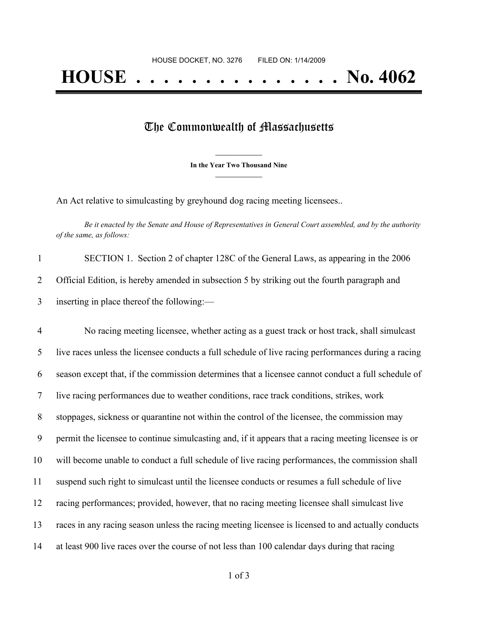## The Commonwealth of Massachusetts

**\_\_\_\_\_\_\_\_\_\_\_\_\_\_\_ In the Year Two Thousand Nine \_\_\_\_\_\_\_\_\_\_\_\_\_\_\_**

An Act relative to simulcasting by greyhound dog racing meeting licensees..

Be it enacted by the Senate and House of Representatives in General Court assembled, and by the authority *of the same, as follows:*

| SECTION 1. Section 2 of chapter 128C of the General Laws, as appearing in the 2006           |
|----------------------------------------------------------------------------------------------|
| Official Edition, is hereby amended in subsection 5 by striking out the fourth paragraph and |
| inserting in place thereof the following:—                                                   |

 No racing meeting licensee, whether acting as a guest track or host track, shall simulcast live races unless the licensee conducts a full schedule of live racing performances during a racing season except that, if the commission determines that a licensee cannot conduct a full schedule of live racing performances due to weather conditions, race track conditions, strikes, work stoppages, sickness or quarantine not within the control of the licensee, the commission may permit the licensee to continue simulcasting and, if it appears that a racing meeting licensee is or will become unable to conduct a full schedule of live racing performances, the commission shall suspend such right to simulcast until the licensee conducts or resumes a full schedule of live racing performances; provided, however, that no racing meeting licensee shall simulcast live races in any racing season unless the racing meeting licensee is licensed to and actually conducts at least 900 live races over the course of not less than 100 calendar days during that racing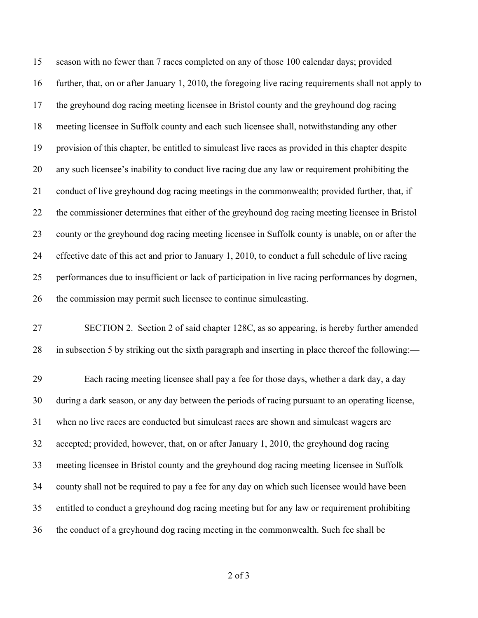season with no fewer than 7 races completed on any of those 100 calendar days; provided further, that, on or after January 1, 2010, the foregoing live racing requirements shall not apply to the greyhound dog racing meeting licensee in Bristol county and the greyhound dog racing meeting licensee in Suffolk county and each such licensee shall, notwithstanding any other provision of this chapter, be entitled to simulcast live races as provided in this chapter despite any such licensee's inability to conduct live racing due any law or requirement prohibiting the conduct of live greyhound dog racing meetings in the commonwealth; provided further, that, if the commissioner determines that either of the greyhound dog racing meeting licensee in Bristol county or the greyhound dog racing meeting licensee in Suffolk county is unable, on or after the effective date of this act and prior to January 1, 2010, to conduct a full schedule of live racing performances due to insufficient or lack of participation in live racing performances by dogmen, the commission may permit such licensee to continue simulcasting.

 SECTION 2. Section 2 of said chapter 128C, as so appearing, is hereby further amended in subsection 5 by striking out the sixth paragraph and inserting in place thereof the following:—

 Each racing meeting licensee shall pay a fee for those days, whether a dark day, a day during a dark season, or any day between the periods of racing pursuant to an operating license, when no live races are conducted but simulcast races are shown and simulcast wagers are accepted; provided, however, that, on or after January 1, 2010, the greyhound dog racing meeting licensee in Bristol county and the greyhound dog racing meeting licensee in Suffolk county shall not be required to pay a fee for any day on which such licensee would have been entitled to conduct a greyhound dog racing meeting but for any law or requirement prohibiting the conduct of a greyhound dog racing meeting in the commonwealth. Such fee shall be

of 3